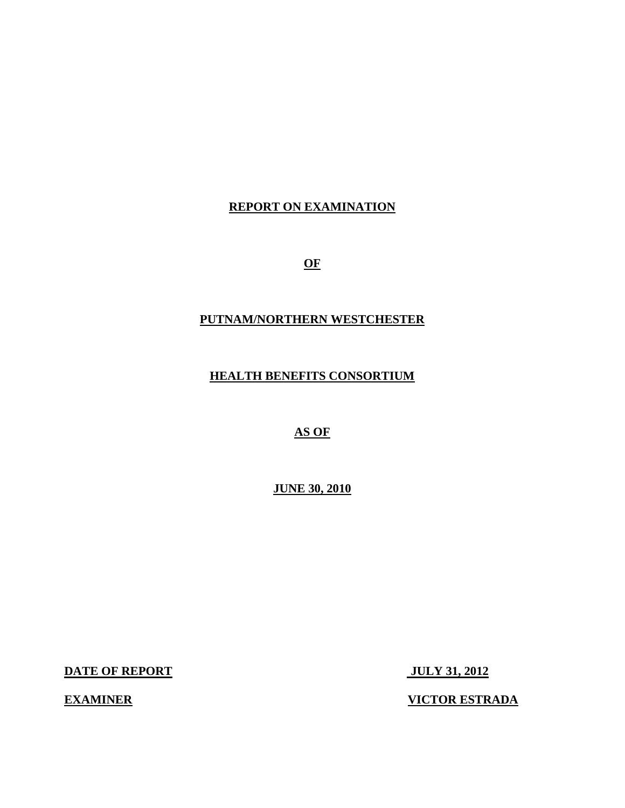# **REPORT ON EXAMINATION**

**OF** 

### **PUTNAM/NORTHERN WESTCHESTER**

**HEALTH BENEFITS CONSORTIUM** 

 **AS OF** 

**JUNE 30, 2010** 

**DATE OF REPORT JULY 31, 2012** 

**EXAMINER VICTOR ESTRADA**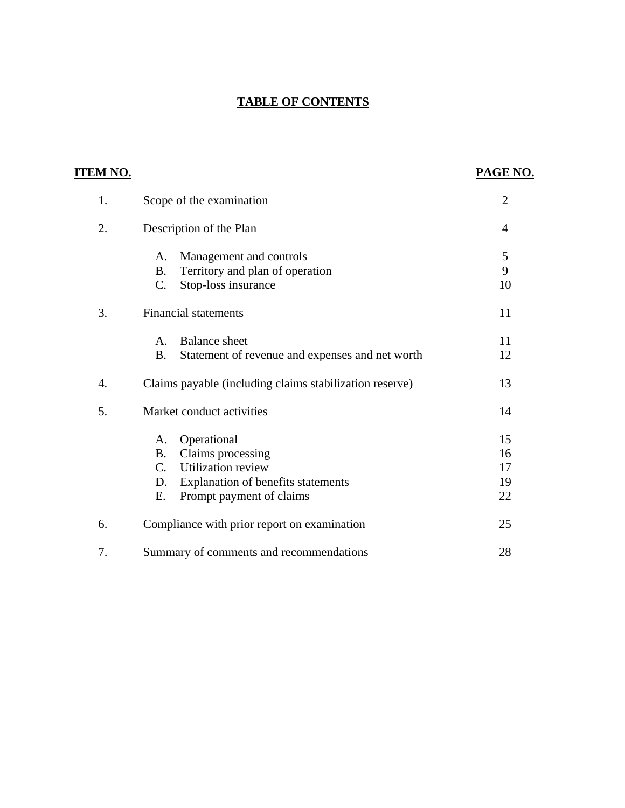# **TABLE OF CONTENTS**

| <b>ITEM NO.</b> |                                                              | PAGE NO.       |
|-----------------|--------------------------------------------------------------|----------------|
| 1.              | Scope of the examination                                     | $\overline{2}$ |
| 2.              | Description of the Plan                                      | $\overline{4}$ |
|                 | Management and controls<br>A.                                | 5              |
|                 | Territory and plan of operation<br><b>B.</b>                 | 9              |
|                 | Stop-loss insurance<br>$C$ .                                 | 10             |
| 3.              | <b>Financial statements</b>                                  | 11             |
|                 | <b>Balance</b> sheet<br>A.                                   | 11             |
|                 | <b>B.</b><br>Statement of revenue and expenses and net worth | 12             |
| 4.              | Claims payable (including claims stabilization reserve)      | 13             |
| 5.              | Market conduct activities                                    | 14             |
|                 | Operational<br>A.                                            | 15             |
|                 | Claims processing<br><b>B.</b>                               | 16             |
|                 | $C_{\cdot}$<br><b>Utilization</b> review                     | 17             |
|                 | Explanation of benefits statements<br>D.                     | 19             |
|                 | Ε.<br>Prompt payment of claims                               | 22             |
| 6.              | Compliance with prior report on examination                  | 25             |
| 7.              | Summary of comments and recommendations                      | 28             |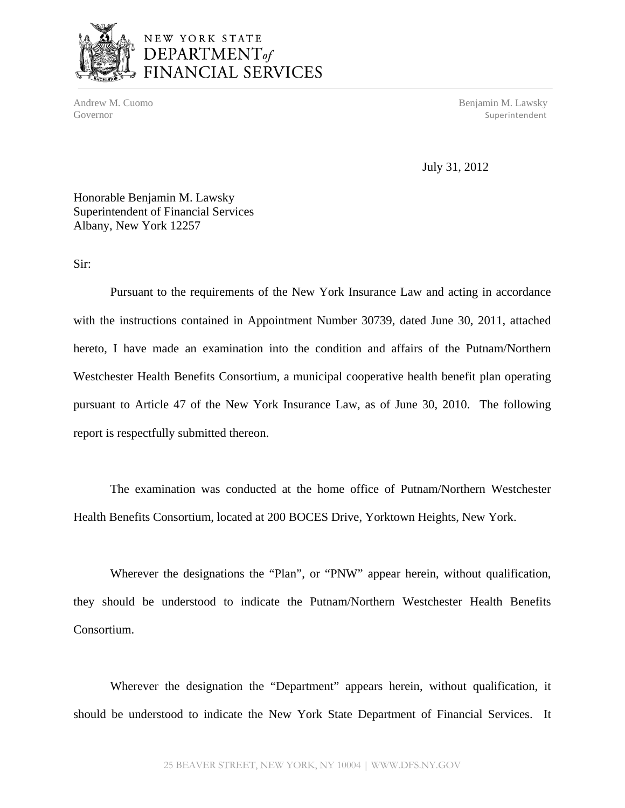

# NEW YORK STATE DEPARTMENT<sub>of</sub><br>FINANCIAL SERVICES

Andrew M. Cuomo Benjamin M. Lawsky Governor Superintendent Superintendent Superintendent Superintendent Superintendent Superintendent Superintendent

July 31, 2012

Honorable Benjamin M. Lawsky Superintendent of Financial Services Albany, New York 12257

Sir:

Pursuant to the requirements of the New York Insurance Law and acting in accordance with the instructions contained in Appointment Number 30739, dated June 30, 2011, attached hereto, I have made an examination into the condition and affairs of the Putnam/Northern Westchester Health Benefits Consortium, a municipal cooperative health benefit plan operating pursuant to Article 47 of the New York Insurance Law, as of June 30, 2010. The following report is respectfully submitted thereon.

The examination was conducted at the home office of Putnam/Northern Westchester Health Benefits Consortium, located at 200 BOCES Drive, Yorktown Heights, New York.

Consortium. Wherever the designations the "Plan", or "PNW" appear herein, without qualification, they should be understood to indicate the Putnam/Northern Westchester Health Benefits

Wherever the designation the "Department" appears herein, without qualification, it should be understood to indicate the New York State Department of Financial Services. It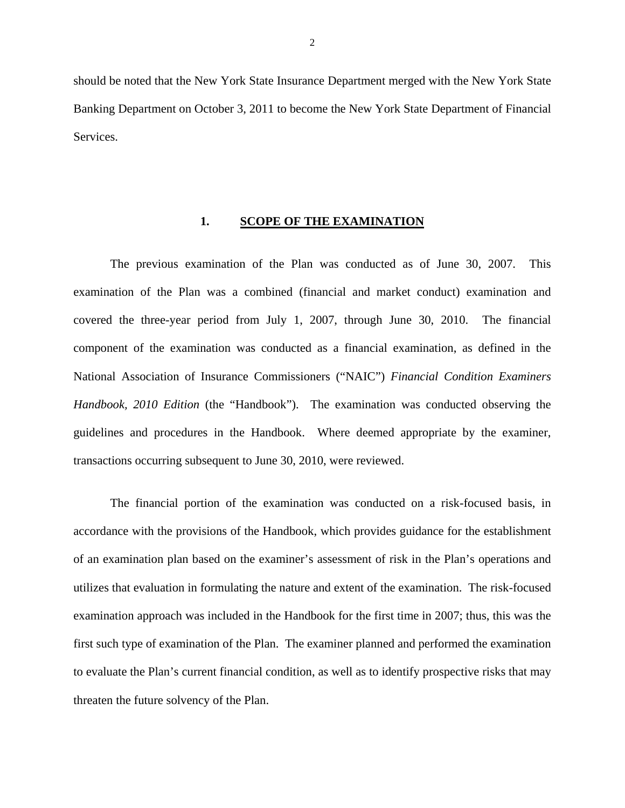<span id="page-3-0"></span>should be noted that the New York State Insurance Department merged with the New York State Banking Department on October 3, 2011 to become the New York State Department of Financial **Services** 

#### **1. SCOPE OF THE EXAMINATION**

The previous examination of the Plan was conducted as of June 30, 2007. This examination of the Plan was a combined (financial and market conduct) examination and covered the three-year period from July 1, 2007, through June 30, 2010. The financial component of the examination was conducted as a financial examination, as defined in the National Association of Insurance Commissioners ("NAIC") *Financial Condition Examiners Handbook, 2010 Edition* (the "Handbook"). The examination was conducted observing the guidelines and procedures in the Handbook. Where deemed appropriate by the examiner, transactions occurring subsequent to June 30, 2010, were reviewed.

The financial portion of the examination was conducted on a risk-focused basis, in accordance with the provisions of the Handbook, which provides guidance for the establishment of an examination plan based on the examiner's assessment of risk in the Plan's operations and utilizes that evaluation in formulating the nature and extent of the examination. The risk-focused examination approach was included in the Handbook for the first time in 2007; thus, this was the first such type of examination of the Plan. The examiner planned and performed the examination to evaluate the Plan's current financial condition, as well as to identify prospective risks that may threaten the future solvency of the Plan.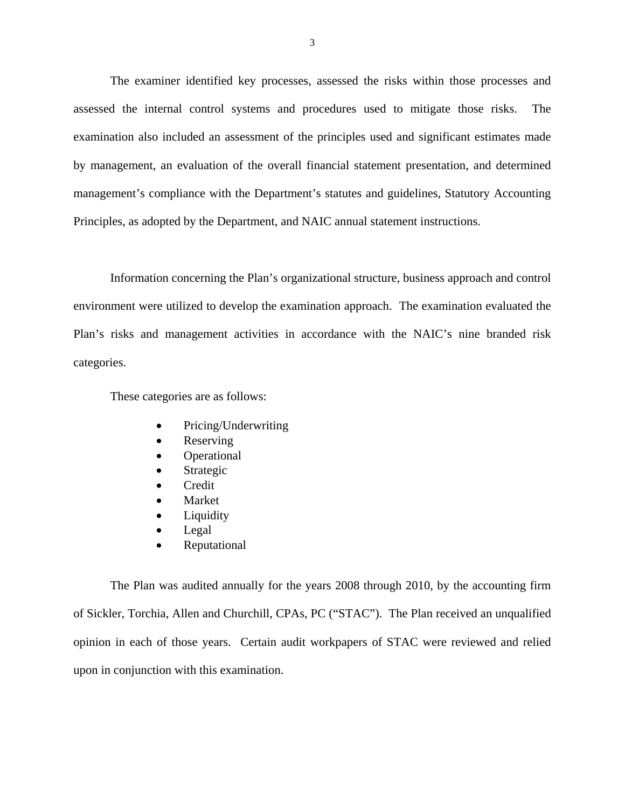The examiner identified key processes, assessed the risks within those processes and assessed the internal control systems and procedures used to mitigate those risks. The examination also included an assessment of the principles used and significant estimates made by management, an evaluation of the overall financial statement presentation, and determined management's compliance with the Department's statutes and guidelines, Statutory Accounting Principles, as adopted by the Department, and NAIC annual statement instructions.

Information concerning the Plan's organizational structure, business approach and control environment were utilized to develop the examination approach. The examination evaluated the Plan's risks and management activities in accordance with the NAIC's nine branded risk categories.

These categories are as follows:

- Pricing/Underwriting
- Reserving
- Operational
- Strategic
- Credit
- Market
- Liquidity
- Legal
- Reputational

The Plan was audited annually for the years 2008 through 2010, by the accounting firm of Sickler, Torchia, Allen and Churchill, CPAs, PC ("STAC"). The Plan received an unqualified opinion in each of those years. Certain audit workpapers of STAC were reviewed and relied upon in conjunction with this examination.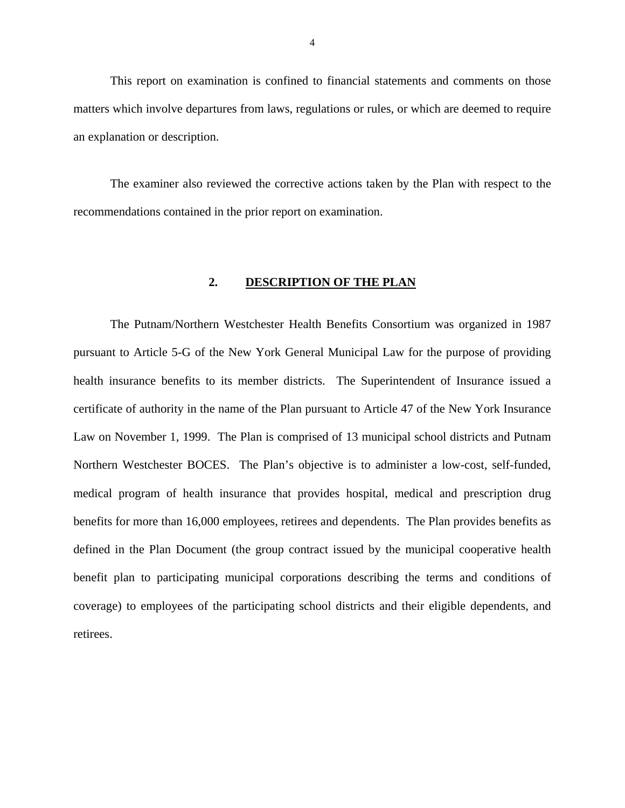<span id="page-5-0"></span>This report on examination is confined to financial statements and comments on those matters which involve departures from laws, regulations or rules, or which are deemed to require an explanation or description.

The examiner also reviewed the corrective actions taken by the Plan with respect to the recommendations contained in the prior report on examination.

#### **2. DESCRIPTION OF THE PLAN**

The Putnam/Northern Westchester Health Benefits Consortium was organized in 1987 pursuant to Article 5-G of the New York General Municipal Law for the purpose of providing health insurance benefits to its member districts. The Superintendent of Insurance issued a certificate of authority in the name of the Plan pursuant to Article 47 of the New York Insurance Law on November 1, 1999. The Plan is comprised of 13 municipal school districts and Putnam Northern Westchester BOCES. The Plan's objective is to administer a low-cost, self-funded, medical program of health insurance that provides hospital, medical and prescription drug benefits for more than 16,000 employees, retirees and dependents. The Plan provides benefits as defined in the Plan Document (the group contract issued by the municipal cooperative health benefit plan to participating municipal corporations describing the terms and conditions of coverage) to employees of the participating school districts and their eligible dependents, and retirees.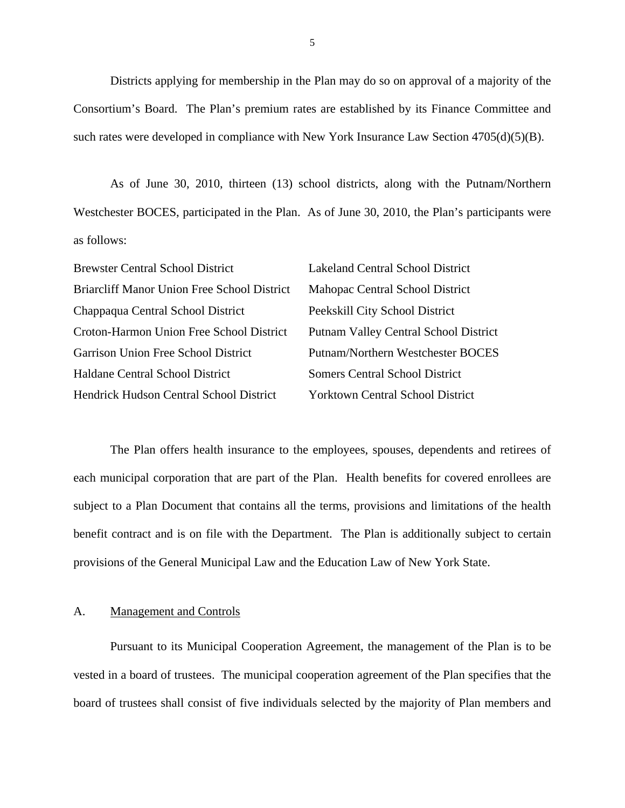Districts applying for membership in the Plan may do so on approval of a majority of the Consortium's Board. The Plan's premium rates are established by its Finance Committee and such rates were developed in compliance with New York Insurance Law Section 4705(d)(5)(B).

As of June 30, 2010, thirteen (13) school districts, along with the Putnam/Northern Westchester BOCES, participated in the Plan. As of June 30, 2010, the Plan's participants were as follows:

| <b>Brewster Central School District</b>            | <b>Lakeland Central School District</b>      |
|----------------------------------------------------|----------------------------------------------|
| <b>Briarcliff Manor Union Free School District</b> | Mahopac Central School District              |
| Chappaqua Central School District                  | Peekskill City School District               |
| Croton-Harmon Union Free School District           | <b>Putnam Valley Central School District</b> |
| Garrison Union Free School District                | Putnam/Northern Westchester BOCES            |
| Haldane Central School District                    | <b>Somers Central School District</b>        |
| Hendrick Hudson Central School District            | <b>Yorktown Central School District</b>      |

The Plan offers health insurance to the employees, spouses, dependents and retirees of each municipal corporation that are part of the Plan. Health benefits for covered enrollees are subject to a Plan Document that contains all the terms, provisions and limitations of the health benefit contract and is on file with the Department. The Plan is additionally subject to certain provisions of the General Municipal Law and the Education Law of New York State.

#### A. Management and Controls

Pursuant to its Municipal Cooperation Agreement, the management of the Plan is to be vested in a board of trustees. The municipal cooperation agreement of the Plan specifies that the board of trustees shall consist of five individuals selected by the majority of Plan members and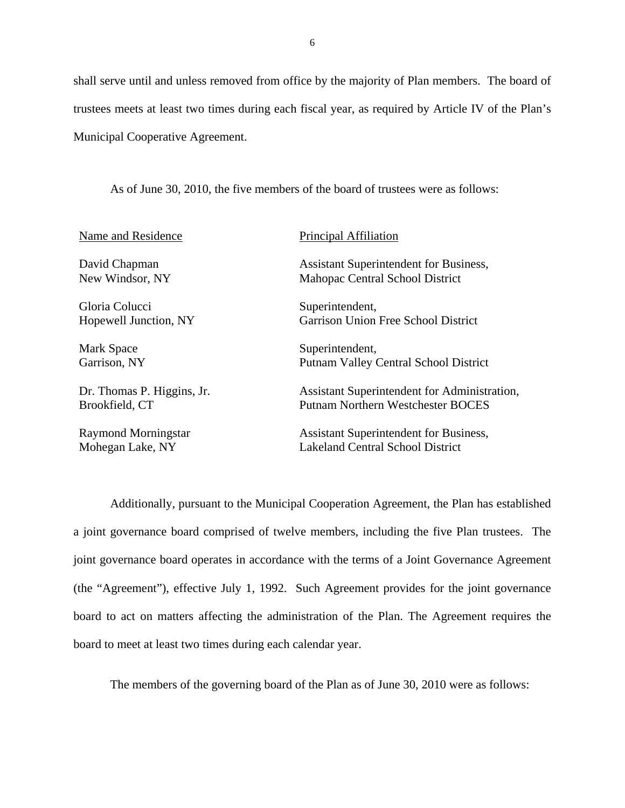shall serve until and unless removed from office by the majority of Plan members. The board of trustees meets at least two times during each fiscal year, as required by Article IV of the Plan's Municipal Cooperative Agreement.

As of June 30, 2010, the five members of the board of trustees were as follows:

| Name and Residence         | Principal Affiliation                         |
|----------------------------|-----------------------------------------------|
| David Chapman              | <b>Assistant Superintendent for Business,</b> |
| New Windsor, NY            | Mahopac Central School District               |
| Gloria Colucci             | Superintendent,                               |
| Hopewell Junction, NY      | <b>Garrison Union Free School District</b>    |
| Mark Space                 | Superintendent,                               |
| Garrison, NY               | <b>Putnam Valley Central School District</b>  |
| Dr. Thomas P. Higgins, Jr. | Assistant Superintendent for Administration,  |
| Brookfield, CT             | Putnam Northern Westchester BOCES             |
| Raymond Morningstar        | <b>Assistant Superintendent for Business,</b> |
| Mohegan Lake, NY           | Lakeland Central School District              |

Additionally, pursuant to the Municipal Cooperation Agreement, the Plan has established a joint governance board comprised of twelve members, including the five Plan trustees. The joint governance board operates in accordance with the terms of a Joint Governance Agreement (the "Agreement"), effective July 1, 1992. Such Agreement provides for the joint governance board to act on matters affecting the administration of the Plan. The Agreement requires the board to meet at least two times during each calendar year.

The members of the governing board of the Plan as of June 30, 2010 were as follows: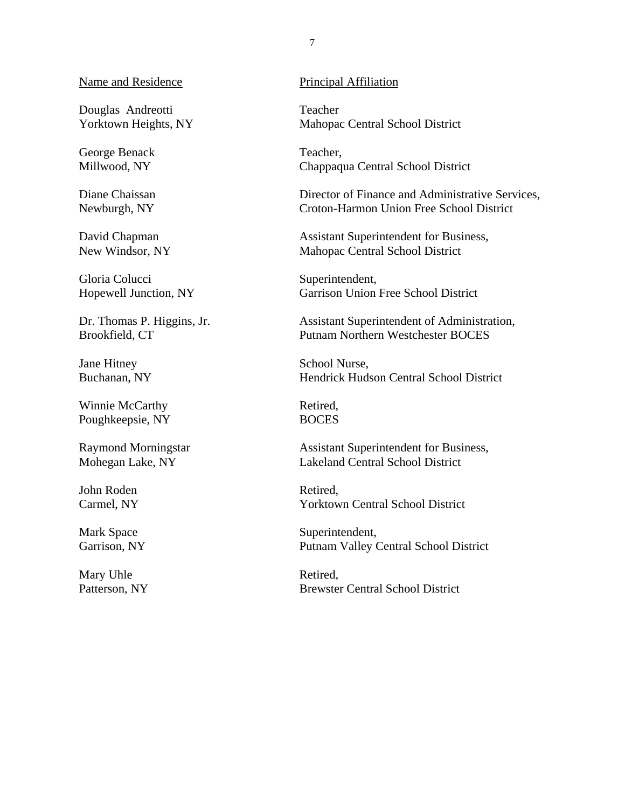#### Name and Residence

Douglas Andreotti Yorktown Heights, NY

George Benack Millwood, NY

Diane Chaissan Newburgh, NY

David Chapman New Windsor, NY

Gloria Colucci Hopewell Junction, NY

Dr. Thomas P. Higgins, Jr. Brookfield, CT

Jane Hitney Buchanan, NY

Winnie McCarthy Poughkeepsie, NY

Raymond Morningstar Mohegan Lake, NY

John Roden Carmel, NY

Mark Space Garrison, NY

Mary Uhle Patterson, NY

#### Principal Affiliation

Teacher Mahopac Central School District

Teacher, Chappaqua Central School District

Director of Finance and Administrative Services, Croton-Harmon Union Free School District

Assistant Superintendent for Business, Mahopac Central School District

Superintendent, Garrison Union Free School District

Assistant Superintendent of Administration, Putnam Northern Westchester BOCES

School Nurse, Hendrick Hudson Central School District

Retired, **BOCES** 

Assistant Superintendent for Business, Lakeland Central School District

Retired, Yorktown Central School District

Superintendent, Putnam Valley Central School District

Retired, Brewster Central School District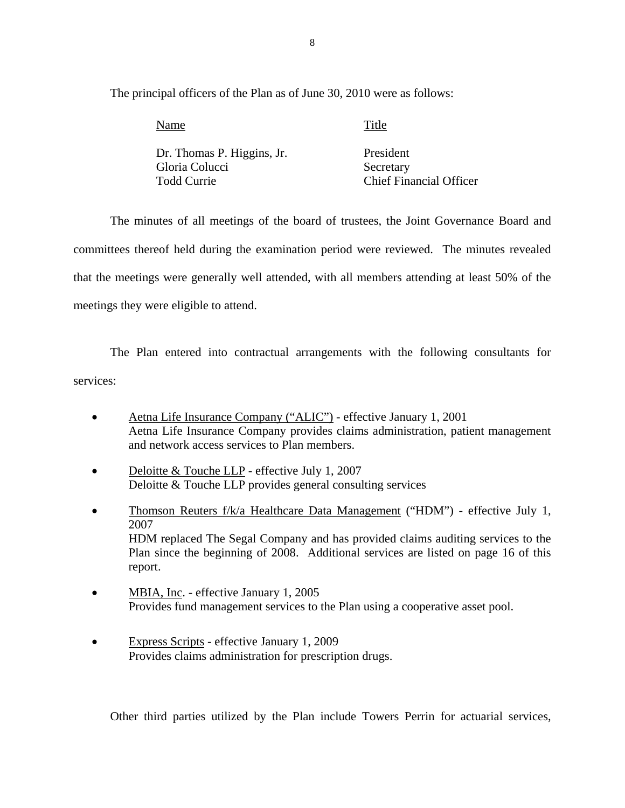The principal officers of the Plan as of June 30, 2010 were as follows:

| Name                       | Title                          |
|----------------------------|--------------------------------|
| Dr. Thomas P. Higgins, Jr. | President                      |
| Gloria Colucci             | Secretary                      |
| Todd Currie                | <b>Chief Financial Officer</b> |

The minutes of all meetings of the board of trustees, the Joint Governance Board and committees thereof held during the examination period were reviewed. The minutes revealed that the meetings were generally well attended, with all members attending at least 50% of the meetings they were eligible to attend.

The Plan entered into contractual arrangements with the following consultants for services:

- Aetna Life Insurance Company ("ALIC") effective January 1, 2001 Aetna Life Insurance Company provides claims administration, patient management and network access services to Plan members.
- Deloitte & Touche LLP effective July 1, 2007 Deloitte & Touche LLP provides general consulting services
- Thomson Reuters f/k/a Healthcare Data Management ("HDM") effective July 1, 2007 HDM replaced The Segal Company and has provided claims auditing services to the Plan since the beginning of 2008. Additional services are listed on page 16 of this report.
- MBIA, Inc. effective January 1, 2005 Provides fund management services to the Plan using a cooperative asset pool.
- Express Scripts effective January 1, 2009 Provides claims administration for prescription drugs.

Other third parties utilized by the Plan include Towers Perrin for actuarial services,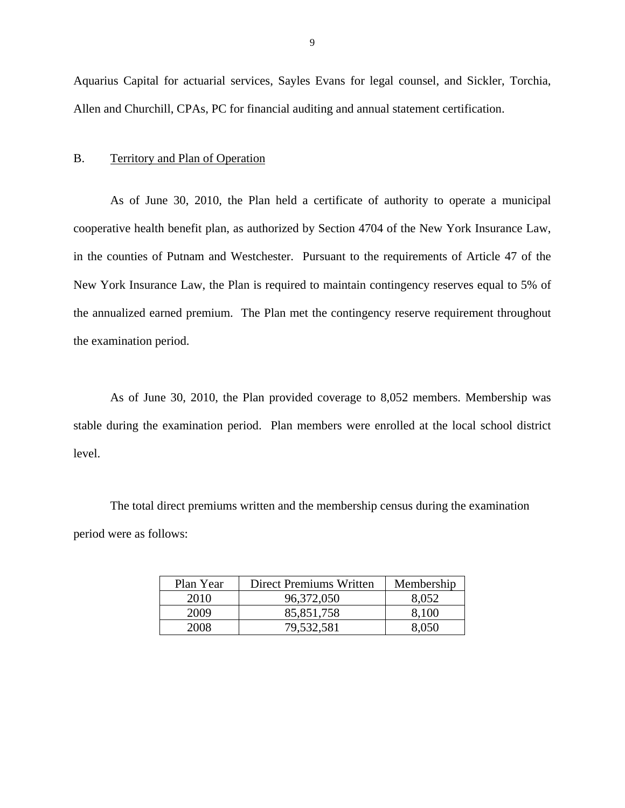Aquarius Capital for actuarial services, Sayles Evans for legal counsel, and Sickler, Torchia, Allen and Churchill, CPAs, PC for financial auditing and annual statement certification.

#### B. Territory and Plan of Operation

As of June 30, 2010, the Plan held a certificate of authority to operate a municipal cooperative health benefit plan, as authorized by Section 4704 of the New York Insurance Law, in the counties of Putnam and Westchester. Pursuant to the requirements of Article 47 of the New York Insurance Law, the Plan is required to maintain contingency reserves equal to 5% of the annualized earned premium. The Plan met the contingency reserve requirement throughout the examination period.

As of June 30, 2010, the Plan provided coverage to 8,052 members. Membership was stable during the examination period. Plan members were enrolled at the local school district level.

The total direct premiums written and the membership census during the examination period were as follows:

| Plan Year | Direct Premiums Written | Membership |
|-----------|-------------------------|------------|
| 2010      | 96,372,050              | 8,052      |
| 2009      | 85,851,758              | 8,100      |
| 2008      | 79,532,581              | 8.050      |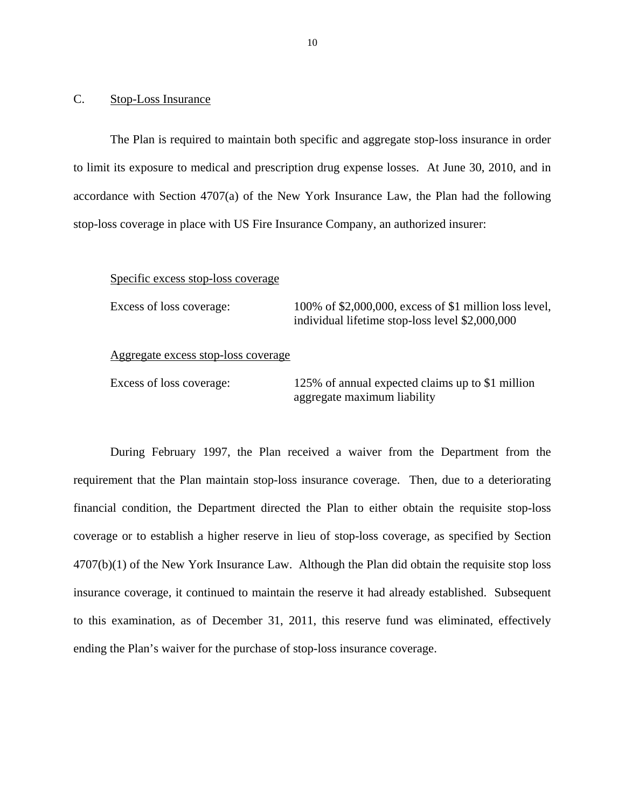#### <span id="page-11-0"></span>C. Stop-Loss Insurance

The Plan is required to maintain both specific and aggregate stop-loss insurance in order to limit its exposure to medical and prescription drug expense losses. At June 30, 2010, and in accordance with Section 4707(a) of the New York Insurance Law, the Plan had the following stop-loss coverage in place with US Fire Insurance Company, an authorized insurer:

#### Specific excess stop-loss coverage

Excess of loss coverage: 100% of \$2,000,000, excess of \$1 million loss level, individual lifetime stop-loss level \$2,000,000

#### Aggregate excess stop-loss coverage

Excess of loss coverage: 125% of annual expected claims up to \$1 million aggregate maximum liability

During February 1997, the Plan received a waiver from the Department from the requirement that the Plan maintain stop-loss insurance coverage. Then, due to a deteriorating financial condition, the Department directed the Plan to either obtain the requisite stop-loss coverage or to establish a higher reserve in lieu of stop-loss coverage, as specified by Section  $4707(b)(1)$  of the New York Insurance Law. Although the Plan did obtain the requisite stop loss insurance coverage, it continued to maintain the reserve it had already established. Subsequent to this examination, as of December 31, 2011, this reserve fund was eliminated, effectively ending the Plan's waiver for the purchase of stop-loss insurance coverage.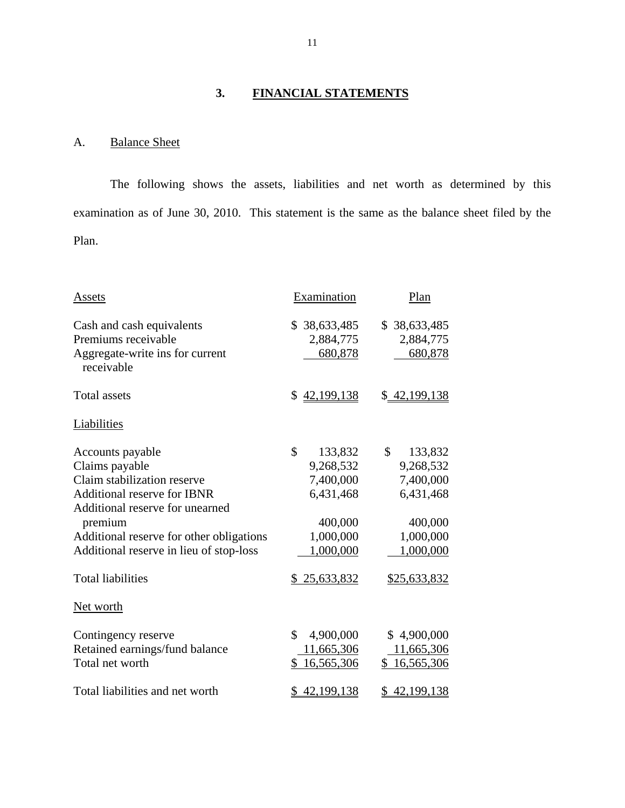# **3. FINANCIAL STATEMENTS**

# A. Balance Sheet

The following shows the assets, liabilities and net worth as determined by this examination as of June 30, 2010. This statement is the same as the balance sheet filed by the Plan.

| Assets                                                                                                                                                                                                                                                                   | Examination                                                                                               | Plan                                                                                                      |
|--------------------------------------------------------------------------------------------------------------------------------------------------------------------------------------------------------------------------------------------------------------------------|-----------------------------------------------------------------------------------------------------------|-----------------------------------------------------------------------------------------------------------|
| Cash and cash equivalents<br>Premiums receivable<br>Aggregate-write ins for current<br>receivable                                                                                                                                                                        | \$38,633,485<br>2,884,775<br>680,878                                                                      | \$38,633,485<br>2,884,775<br>680,878                                                                      |
| <b>Total assets</b>                                                                                                                                                                                                                                                      | \$42,199,138                                                                                              | \$42,199,138                                                                                              |
| Liabilities                                                                                                                                                                                                                                                              |                                                                                                           |                                                                                                           |
| Accounts payable<br>Claims payable<br>Claim stabilization reserve<br><b>Additional reserve for IBNR</b><br>Additional reserve for unearned<br>premium<br>Additional reserve for other obligations<br>Additional reserve in lieu of stop-loss<br><b>Total liabilities</b> | \$<br>133,832<br>9,268,532<br>7,400,000<br>6,431,468<br>400,000<br>1,000,000<br>1,000,000<br>\$25,633,832 | \$<br>133,832<br>9,268,532<br>7,400,000<br>6,431,468<br>400,000<br>1,000,000<br>1,000,000<br>\$25,633,832 |
| Net worth                                                                                                                                                                                                                                                                |                                                                                                           |                                                                                                           |
| Contingency reserve<br>Retained earnings/fund balance<br>Total net worth<br>Total liabilities and net worth                                                                                                                                                              | \$<br>4,900,000<br>11,665,306<br>16,565,306<br>\$<br>42,199,138                                           | \$4,900,000<br>11,665,306<br>\$16,565,306<br>\$42,199,138                                                 |
|                                                                                                                                                                                                                                                                          |                                                                                                           |                                                                                                           |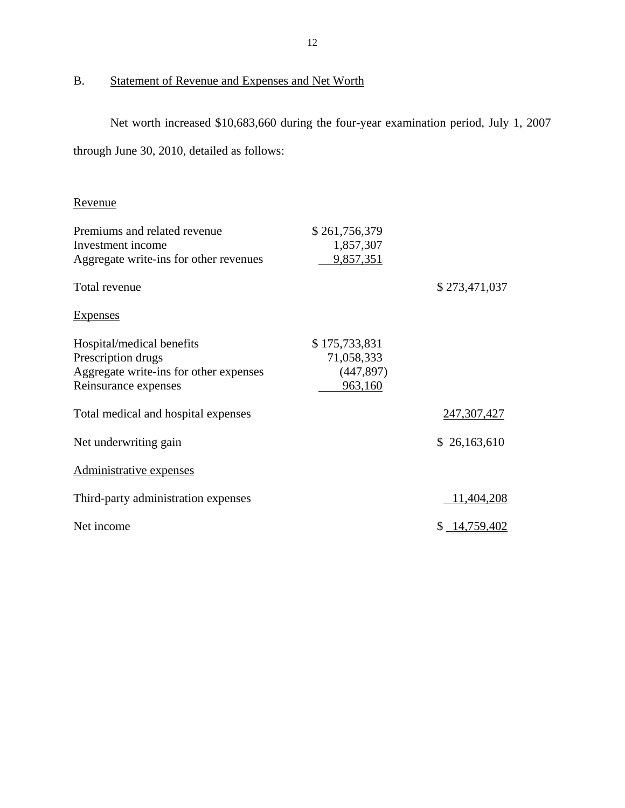# Statement of Revenue and Expenses and Net Worth

<span id="page-13-0"></span>B. Statement of Revenue and Expenses and Net Worth<br>Net worth increased \$10,683,660 during the four-year examination period, July 1, 2007 through June 30, 2010, detailed as follows:

# Revenue

| Revenue                                                                                                           |                                                      |               |
|-------------------------------------------------------------------------------------------------------------------|------------------------------------------------------|---------------|
| Premiums and related revenue<br>Investment income<br>Aggregate write-ins for other revenues                       | \$261,756,379<br>1,857,307<br>9,857,351              |               |
| Total revenue                                                                                                     |                                                      | \$273,471,037 |
| <b>Expenses</b>                                                                                                   |                                                      |               |
| Hospital/medical benefits<br>Prescription drugs<br>Aggregate write-ins for other expenses<br>Reinsurance expenses | \$175,733,831<br>71,058,333<br>(447, 897)<br>963,160 |               |
| Total medical and hospital expenses                                                                               |                                                      | 247,307,427   |
| Net underwriting gain                                                                                             |                                                      | \$26,163,610  |
| Administrative expenses                                                                                           |                                                      |               |
| Third-party administration expenses                                                                               |                                                      | 11,404,208    |
| Net income                                                                                                        |                                                      | \$14,759,402  |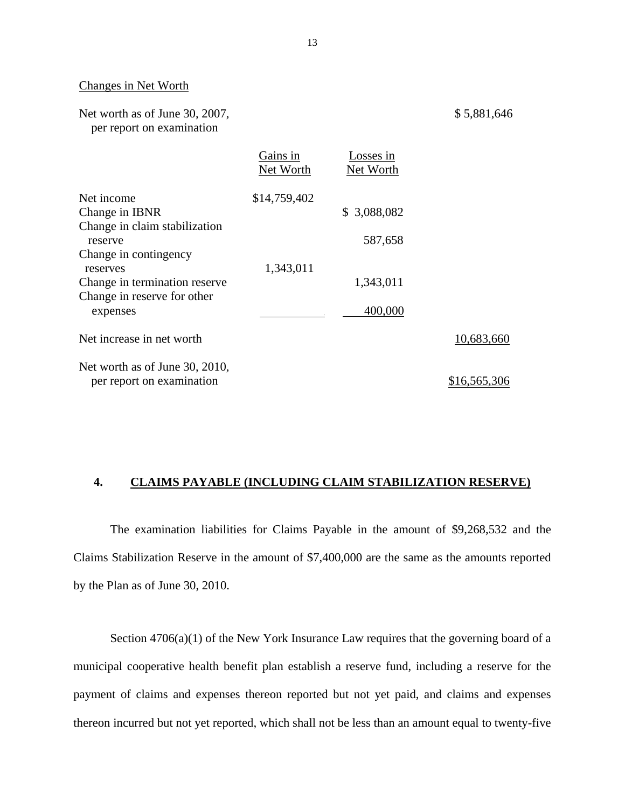#### Changes in Net Worth

| Net worth as of June 30, 2007, |  |
|--------------------------------|--|
| per report on examination      |  |

|                                                             | Gains in<br>Net Worth | Losses in<br>Net Worth |              |
|-------------------------------------------------------------|-----------------------|------------------------|--------------|
| Net income                                                  | \$14,759,402          |                        |              |
| Change in IBNR                                              |                       | \$3,088,082            |              |
| Change in claim stabilization<br>reserve                    |                       | 587,658                |              |
| Change in contingency<br>reserves                           | 1,343,011             |                        |              |
| Change in termination reserve.                              |                       | 1,343,011              |              |
| Change in reserve for other<br>expenses                     |                       | 400,000                |              |
| Net increase in net worth                                   |                       |                        | 10,683,660   |
| Net worth as of June 30, 2010,<br>per report on examination |                       |                        | \$16,565,306 |

#### **4. CLAIMS PAYABLE (INCLUDING CLAIM STABILIZATION RESERVE)**

The examination liabilities for Claims Payable in the amount of \$9,268,532 and the Claims Stabilization Reserve in the amount of \$7,400,000 are the same as the amounts reported by the Plan as of June 30, 2010.

Section  $4706(a)(1)$  of the New York Insurance Law requires that the governing board of a municipal cooperative health benefit plan establish a reserve fund, including a reserve for the payment of claims and expenses thereon reported but not yet paid, and claims and expenses thereon incurred but not yet reported, which shall not be less than an amount equal to twenty-five

\$ 5,881,646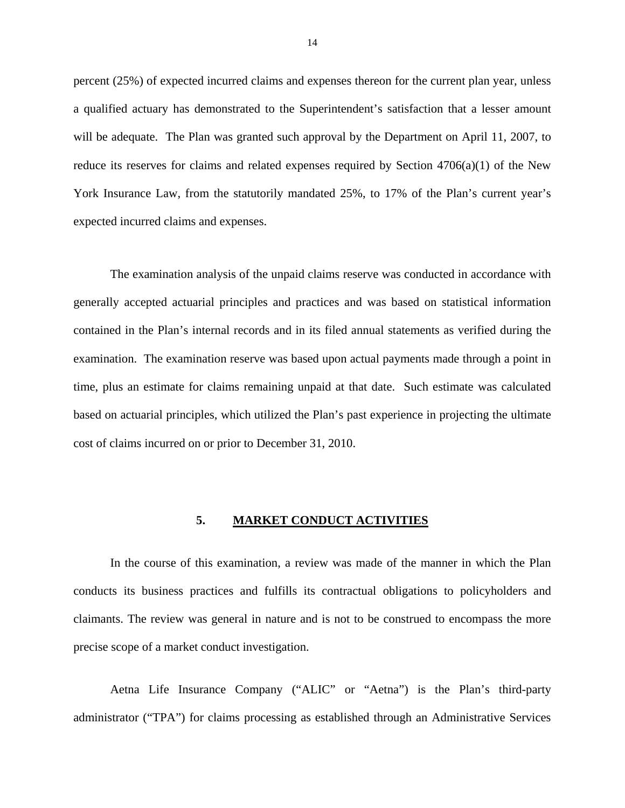<span id="page-15-0"></span>percent (25%) of expected incurred claims and expenses thereon for the current plan year, unless a qualified actuary has demonstrated to the Superintendent's satisfaction that a lesser amount will be adequate. The Plan was granted such approval by the Department on April 11, 2007, to reduce its reserves for claims and related expenses required by Section 4706(a)(1) of the New York Insurance Law, from the statutorily mandated 25%, to 17% of the Plan's current year's expected incurred claims and expenses.

The examination analysis of the unpaid claims reserve was conducted in accordance with generally accepted actuarial principles and practices and was based on statistical information contained in the Plan's internal records and in its filed annual statements as verified during the examination. The examination reserve was based upon actual payments made through a point in time, plus an estimate for claims remaining unpaid at that date. Such estimate was calculated based on actuarial principles, which utilized the Plan's past experience in projecting the ultimate cost of claims incurred on or prior to December 31, 2010.

#### **5. MARKET CONDUCT ACTIVITIES**

In the course of this examination, a review was made of the manner in which the Plan conducts its business practices and fulfills its contractual obligations to policyholders and claimants. The review was general in nature and is not to be construed to encompass the more precise scope of a market conduct investigation.

Aetna Life Insurance Company ("ALIC" or "Aetna") is the Plan's third-party administrator ("TPA") for claims processing as established through an Administrative Services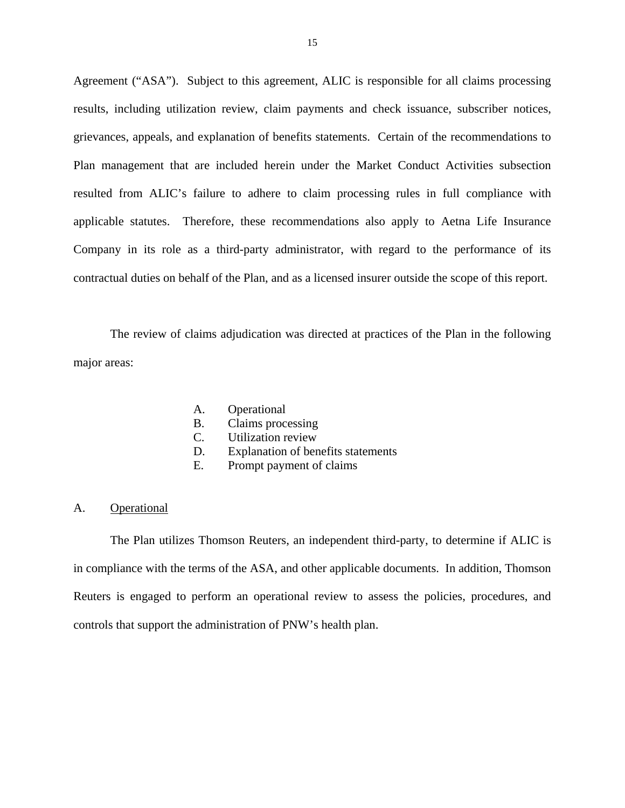<span id="page-16-0"></span>Agreement ("ASA"). Subject to this agreement, ALIC is responsible for all claims processing results, including utilization review, claim payments and check issuance, subscriber notices, grievances, appeals, and explanation of benefits statements. Certain of the recommendations to Plan management that are included herein under the Market Conduct Activities subsection resulted from ALIC's failure to adhere to claim processing rules in full compliance with applicable statutes. Therefore, these recommendations also apply to Aetna Life Insurance Company in its role as a third-party administrator, with regard to the performance of its contractual duties on behalf of the Plan, and as a licensed insurer outside the scope of this report.

The review of claims adjudication was directed at practices of the Plan in the following major areas:

- A. Operational
- B. Claims processing
- C. Utilization review
- D. Explanation of benefits statements
- E. Prompt payment of claims

#### A. Operational

The Plan utilizes Thomson Reuters, an independent third-party, to determine if ALIC is in compliance with the terms of the ASA, and other applicable documents. In addition, Thomson Reuters is engaged to perform an operational review to assess the policies, procedures, and controls that support the administration of PNW's health plan.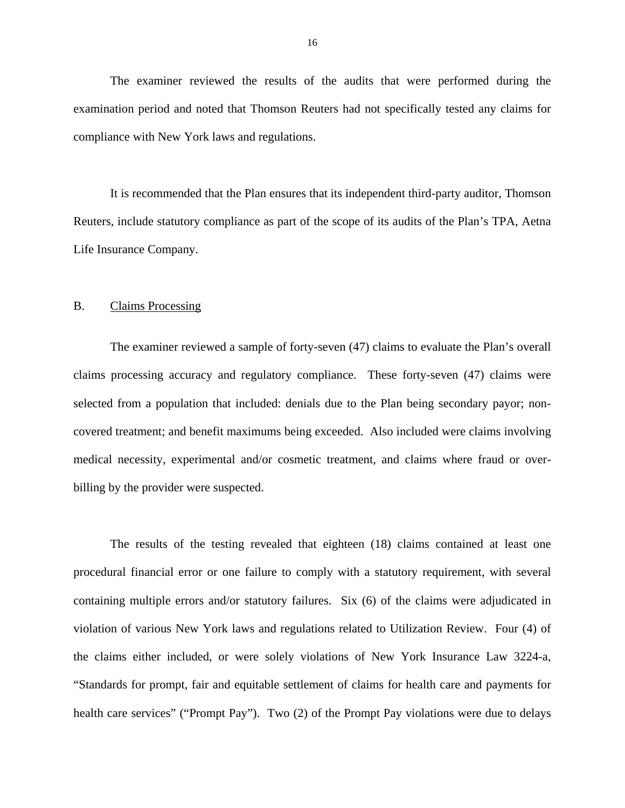<span id="page-17-0"></span>The examiner reviewed the results of the audits that were performed during the examination period and noted that Thomson Reuters had not specifically tested any claims for compliance with New York laws and regulations.

It is recommended that the Plan ensures that its independent third-party auditor, Thomson Reuters, include statutory compliance as part of the scope of its audits of the Plan's TPA, Aetna Life Insurance Company.

#### B. Claims Processing

The examiner reviewed a sample of forty-seven (47) claims to evaluate the Plan's overall claims processing accuracy and regulatory compliance. These forty-seven (47) claims were selected from a population that included: denials due to the Plan being secondary payor; noncovered treatment; and benefit maximums being exceeded. Also included were claims involving medical necessity, experimental and/or cosmetic treatment, and claims where fraud or overbilling by the provider were suspected.

The results of the testing revealed that eighteen (18) claims contained at least one procedural financial error or one failure to comply with a statutory requirement, with several containing multiple errors and/or statutory failures. Six (6) of the claims were adjudicated in violation of various New York laws and regulations related to Utilization Review. Four (4) of the claims either included, or were solely violations of New York Insurance Law 3224-a, "Standards for prompt, fair and equitable settlement of claims for health care and payments for health care services" ("Prompt Pay"). Two (2) of the Prompt Pay violations were due to delays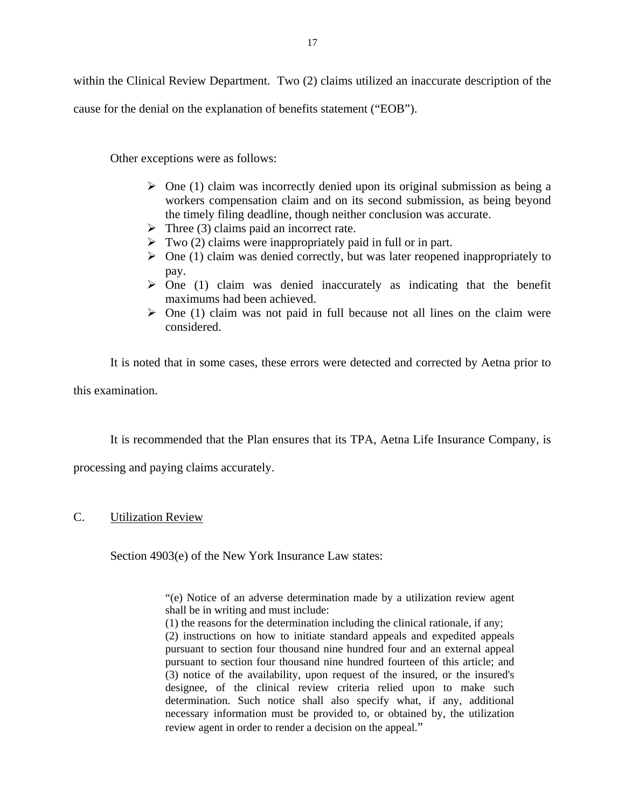<span id="page-18-0"></span>within the Clinical Review Department. Two (2) claims utilized an inaccurate description of the

cause for the denial on the explanation of benefits statement ("EOB").

Other exceptions were as follows:

- $\triangleright$  One (1) claim was incorrectly denied upon its original submission as being a workers compensation claim and on its second submission, as being beyond the timely filing deadline, though neither conclusion was accurate.
- $\triangleright$  Three (3) claims paid an incorrect rate.
- $\triangleright$  Two (2) claims were inappropriately paid in full or in part.
- $\triangleright$  One (1) claim was denied correctly, but was later reopened inappropriately to pay.
- $\geq$  One (1) claim was denied inaccurately as indicating that the benefit maximums had been achieved.
- $\triangleright$  One (1) claim was not paid in full because not all lines on the claim were considered.

It is noted that in some cases, these errors were detected and corrected by Aetna prior to this examination.

It is recommended that the Plan ensures that its TPA, Aetna Life Insurance Company, is

processing and paying claims accurately.

#### C. Utilization Review

Section 4903(e) of the New York Insurance Law states:

"(e) Notice of an adverse determination made by a utilization review agent shall be in writing and must include:

(1) the reasons for the determination including the clinical rationale, if any;

(2) instructions on how to initiate standard appeals and expedited appeals pursuant to section four thousand nine hundred four and an external appeal pursuant to section four thousand nine hundred fourteen of this article; and (3) notice of the availability, upon request of the insured, or the insured's designee, of the clinical review criteria relied upon to make such determination. Such notice shall also specify what, if any, additional necessary information must be provided to, or obtained by, the utilization review agent in order to render a decision on the appeal."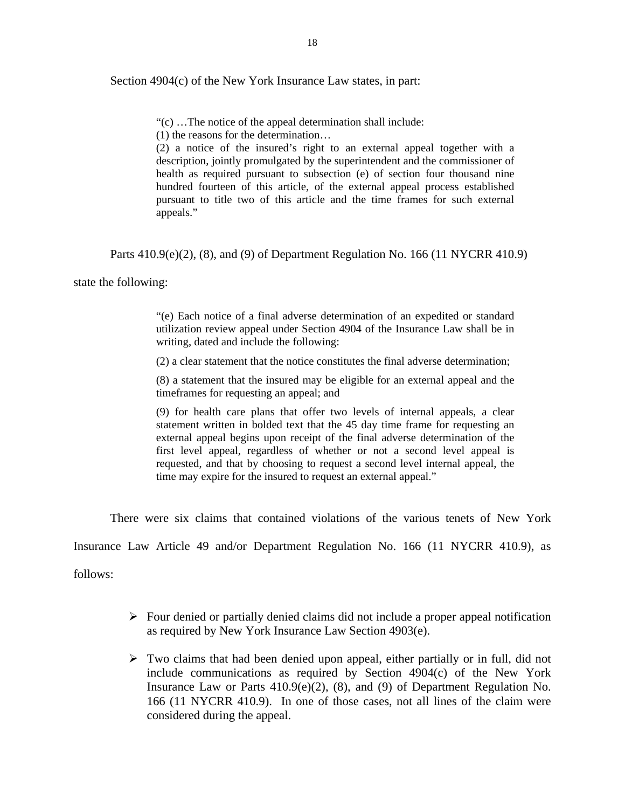Section 4904(c) of the New York Insurance Law states, in part:

"(c) …The notice of the appeal determination shall include:

(1) the reasons for the determination…

(2) a notice of the insured's right to an external appeal together with a description, jointly promulgated by the superintendent and the commissioner of health as required pursuant to subsection (e) of section four thousand nine hundred fourteen of this article, of the external appeal process established pursuant to title two of this article and the time frames for such external appeals."

Parts 410.9(e)(2), (8), and (9) of Department Regulation No. 166 (11 NYCRR 410.9)

state the following:

"(e) Each notice of a final adverse determination of an expedited or standard utilization review appeal under Section 4904 of the Insurance Law shall be in writing, dated and include the following:

(2) a clear statement that the notice constitutes the final adverse determination;

(8) a statement that the insured may be eligible for an external appeal and the timeframes for requesting an appeal; and

(9) for health care plans that offer two levels of internal appeals, a clear statement written in bolded text that the 45 day time frame for requesting an external appeal begins upon receipt of the final adverse determination of the first level appeal, regardless of whether or not a second level appeal is requested, and that by choosing to request a second level internal appeal, the time may expire for the insured to request an external appeal."

There were six claims that contained violations of the various tenets of New York

Insurance Law Article 49 and/or Department Regulation No. 166 (11 NYCRR 410.9), as

follows:

- $\triangleright$  Four denied or partially denied claims did not include a proper appeal notification as required by New York Insurance Law Section 4903(e).
- $\triangleright$  Two claims that had been denied upon appeal, either partially or in full, did not include communications as required by Section 4904(c) of the New York Insurance Law or Parts 410.9(e)(2), (8), and (9) of Department Regulation No. 166 (11 NYCRR 410.9). In one of those cases, not all lines of the claim were considered during the appeal.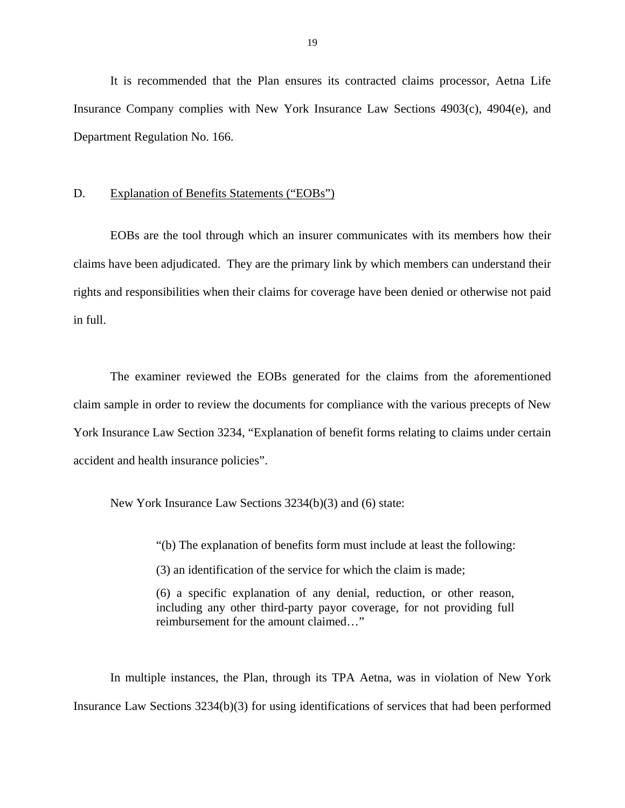<span id="page-20-0"></span>It is recommended that the Plan ensures its contracted claims processor, Aetna Life Insurance Company complies with New York Insurance Law Sections 4903(c), 4904(e), and Department Regulation No. 166.

#### D. Explanation of Benefits Statements ("EOBs")

EOBs are the tool through which an insurer communicates with its members how their claims have been adjudicated. They are the primary link by which members can understand their rights and responsibilities when their claims for coverage have been denied or otherwise not paid in full.

The examiner reviewed the EOBs generated for the claims from the aforementioned claim sample in order to review the documents for compliance with the various precepts of New York Insurance Law Section 3234, "Explanation of benefit forms relating to claims under certain accident and health insurance policies".

New York Insurance Law Sections 3234(b)(3) and (6) state:

"(b) The explanation of benefits form must include at least the following:

(3) an identification of the service for which the claim is made;

(6) a specific explanation of any denial, reduction, or other reason, including any other third-party payor coverage, for not providing full reimbursement for the amount claimed…"

In multiple instances, the Plan, through its TPA Aetna, was in violation of New York Insurance Law Sections 3234(b)(3) for using identifications of services that had been performed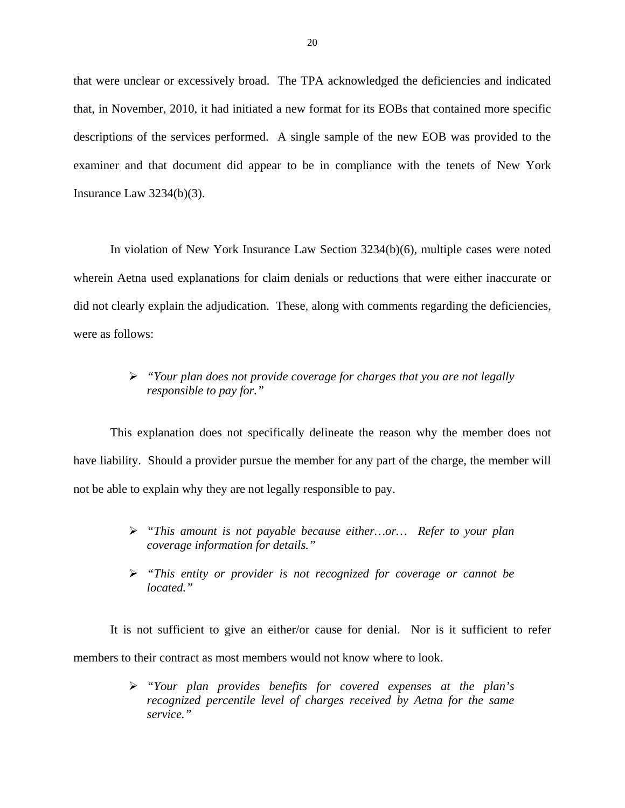that were unclear or excessively broad. The TPA acknowledged the deficiencies and indicated that, in November, 2010, it had initiated a new format for its EOBs that contained more specific descriptions of the services performed. A single sample of the new EOB was provided to the examiner and that document did appear to be in compliance with the tenets of New York Insurance Law 3234(b)(3).

In violation of New York Insurance Law Section 3234(b)(6), multiple cases were noted wherein Aetna used explanations for claim denials or reductions that were either inaccurate or did not clearly explain the adjudication. These, along with comments regarding the deficiencies, were as follows:

### *"Your plan does not provide coverage for charges that you are not legally responsible to pay for."*

This explanation does not specifically delineate the reason why the member does not have liability. Should a provider pursue the member for any part of the charge, the member will not be able to explain why they are not legally responsible to pay.

- *"This amount is not payable because either…or… Refer to your plan coverage information for details."*
- *"This entity or provider is not recognized for coverage or cannot be located."*

It is not sufficient to give an either/or cause for denial. Nor is it sufficient to refer members to their contract as most members would not know where to look.

> *"Your plan provides benefits for covered expenses at the plan's recognized percentile level of charges received by Aetna for the same service."*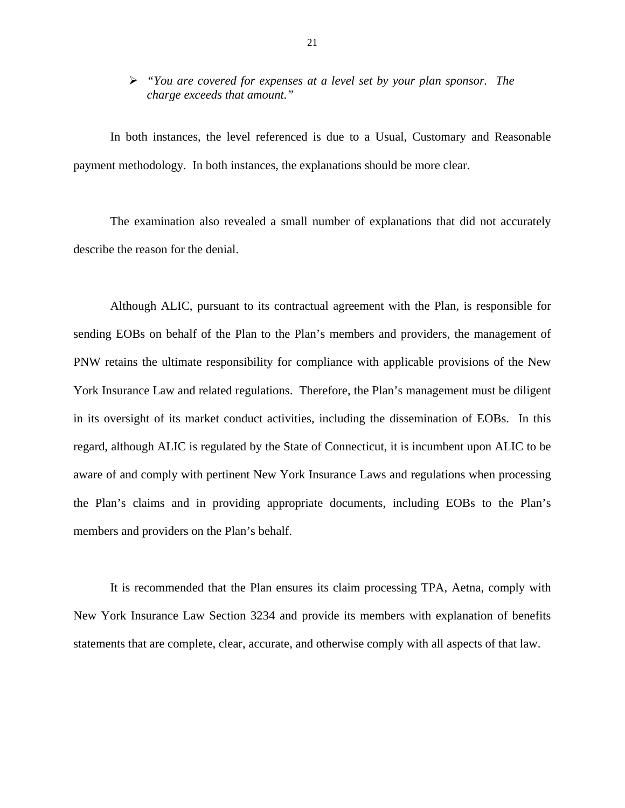#### *"You are covered for expenses at a level set by your plan sponsor. The charge exceeds that amount."*

In both instances, the level referenced is due to a Usual, Customary and Reasonable payment methodology. In both instances, the explanations should be more clear.

The examination also revealed a small number of explanations that did not accurately describe the reason for the denial.

Although ALIC, pursuant to its contractual agreement with the Plan, is responsible for sending EOBs on behalf of the Plan to the Plan's members and providers, the management of PNW retains the ultimate responsibility for compliance with applicable provisions of the New York Insurance Law and related regulations. Therefore, the Plan's management must be diligent in its oversight of its market conduct activities, including the dissemination of EOBs. In this regard, although ALIC is regulated by the State of Connecticut, it is incumbent upon ALIC to be aware of and comply with pertinent New York Insurance Laws and regulations when processing the Plan's claims and in providing appropriate documents, including EOBs to the Plan's members and providers on the Plan's behalf.

It is recommended that the Plan ensures its claim processing TPA, Aetna, comply with New York Insurance Law Section 3234 and provide its members with explanation of benefits statements that are complete, clear, accurate, and otherwise comply with all aspects of that law.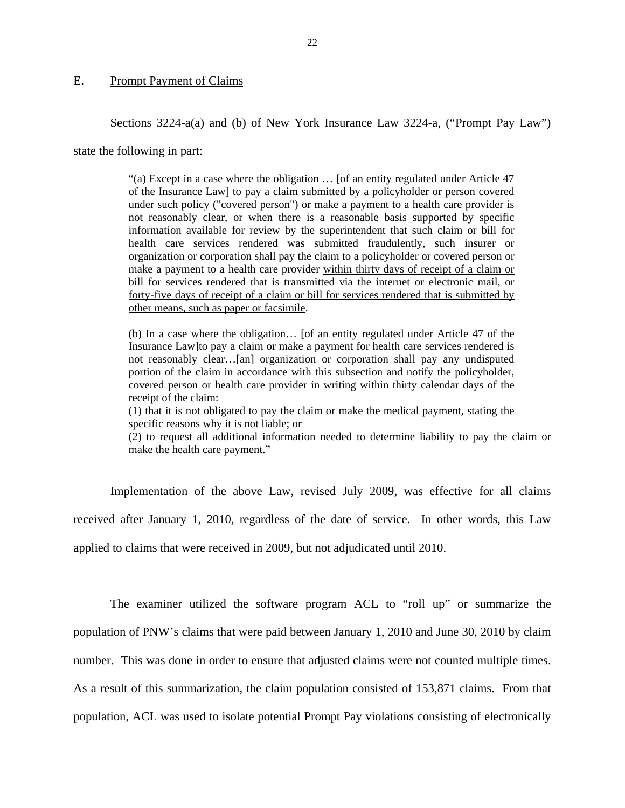#### <span id="page-23-0"></span>E. Prompt Payment of Claims

Sections 3224-a(a) and (b) of New York Insurance Law 3224-a, ("Prompt Pay Law")

state the following in part:

"(a) Except in a case where the obligation … [of an entity regulated under Article 47 of the Insurance Law] to pay a claim submitted by a policyholder or person covered under such policy ("covered person") or make a payment to a health care provider is not reasonably clear, or when there is a reasonable basis supported by specific information available for review by the superintendent that such claim or bill for health care services rendered was submitted fraudulently, such insurer or organization or corporation shall pay the claim to a policyholder or covered person or make a payment to a health care provider within thirty days of receipt of a claim or bill for services rendered that is transmitted via the internet or electronic mail, or forty-five days of receipt of a claim or bill for services rendered that is submitted by other means, such as paper or facsimile.

(b) In a case where the obligation… [of an entity regulated under Article 47 of the Insurance Law]to pay a claim or make a payment for health care services rendered is not reasonably clear…[an] organization or corporation shall pay any undisputed portion of the claim in accordance with this subsection and notify the policyholder, covered person or health care provider in writing within thirty calendar days of the receipt of the claim:

(1) that it is not obligated to pay the claim or make the medical payment, stating the specific reasons why it is not liable; or

(2) to request all additional information needed to determine liability to pay the claim or make the health care payment."

Implementation of the above Law, revised July 2009, was effective for all claims received after January 1, 2010, regardless of the date of service. In other words, this Law applied to claims that were received in 2009, but not adjudicated until 2010.

The examiner utilized the software program ACL to "roll up" or summarize the population of PNW's claims that were paid between January 1, 2010 and June 30, 2010 by claim number. This was done in order to ensure that adjusted claims were not counted multiple times. As a result of this summarization, the claim population consisted of 153,871 claims. From that population, ACL was used to isolate potential Prompt Pay violations consisting of electronically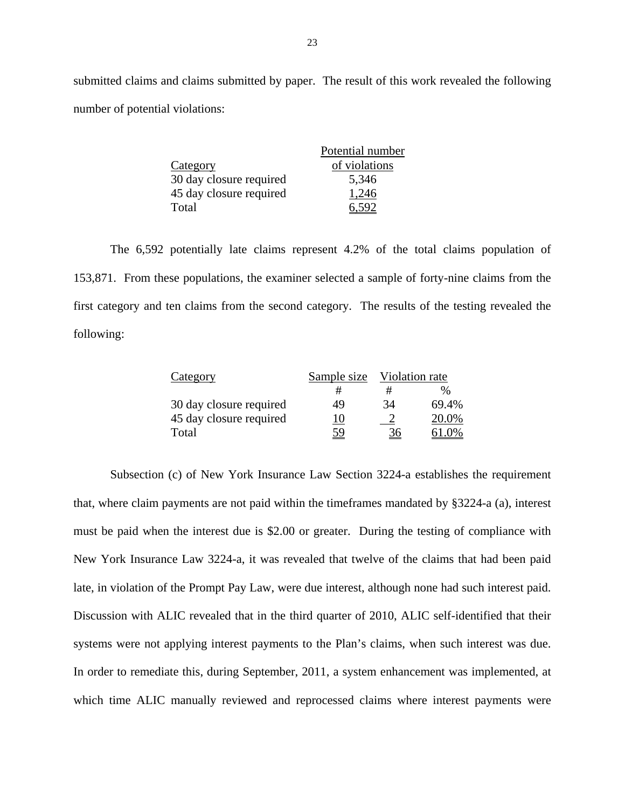submitted claims and claims submitted by paper. The result of this work revealed the following number of potential violations:

|                         | Potential number |
|-------------------------|------------------|
| Category                | of violations    |
| 30 day closure required | 5,346            |
| 45 day closure required | 1,246            |
| Total                   |                  |

The 6,592 potentially late claims represent 4.2% of the total claims population of 153,871. From these populations, the examiner selected a sample of forty-nine claims from the first category and ten claims from the second category. The results of the testing revealed the following:

| Category                | Sample size | Violation rate |       |
|-------------------------|-------------|----------------|-------|
|                         |             | #              | %     |
| 30 day closure required | 49          | 34             | 69.4% |
| 45 day closure required | 10          |                | 20.0% |
| Total                   | <u>59</u>   | <u>36</u>      | 61 0% |

Subsection (c) of New York Insurance Law Section 3224-a establishes the requirement that, where claim payments are not paid within the timeframes mandated by §3224-a (a), interest must be paid when the interest due is \$2.00 or greater. During the testing of compliance with New York Insurance Law 3224-a, it was revealed that twelve of the claims that had been paid late, in violation of the Prompt Pay Law, were due interest, although none had such interest paid. Discussion with ALIC revealed that in the third quarter of 2010, ALIC self-identified that their systems were not applying interest payments to the Plan's claims, when such interest was due. In order to remediate this, during September, 2011, a system enhancement was implemented, at which time ALIC manually reviewed and reprocessed claims where interest payments were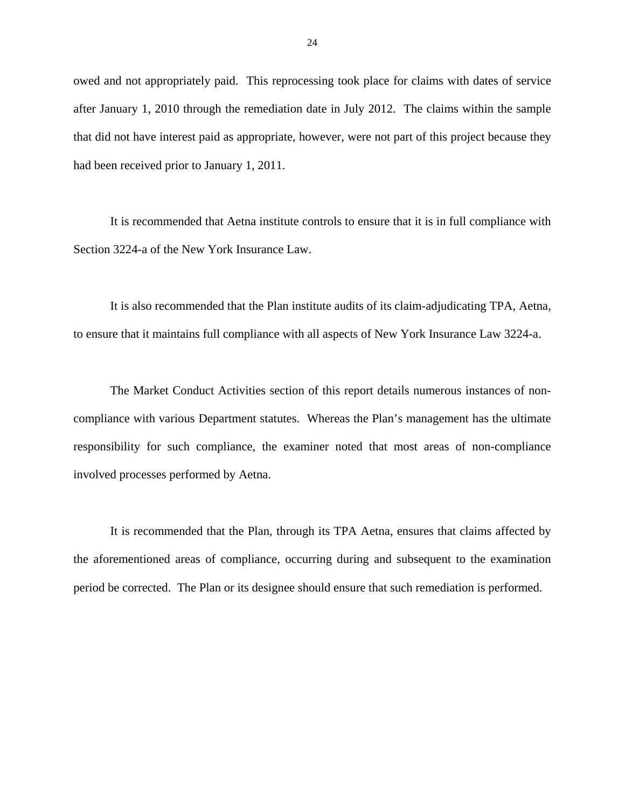owed and not appropriately paid. This reprocessing took place for claims with dates of service after January 1, 2010 through the remediation date in July 2012. The claims within the sample that did not have interest paid as appropriate, however, were not part of this project because they had been received prior to January 1, 2011.

It is recommended that Aetna institute controls to ensure that it is in full compliance with Section 3224-a of the New York Insurance Law.

It is also recommended that the Plan institute audits of its claim-adjudicating TPA, Aetna, to ensure that it maintains full compliance with all aspects of New York Insurance Law 3224-a.

The Market Conduct Activities section of this report details numerous instances of noncompliance with various Department statutes. Whereas the Plan's management has the ultimate responsibility for such compliance, the examiner noted that most areas of non-compliance involved processes performed by Aetna.

It is recommended that the Plan, through its TPA Aetna, ensures that claims affected by the aforementioned areas of compliance, occurring during and subsequent to the examination period be corrected. The Plan or its designee should ensure that such remediation is performed.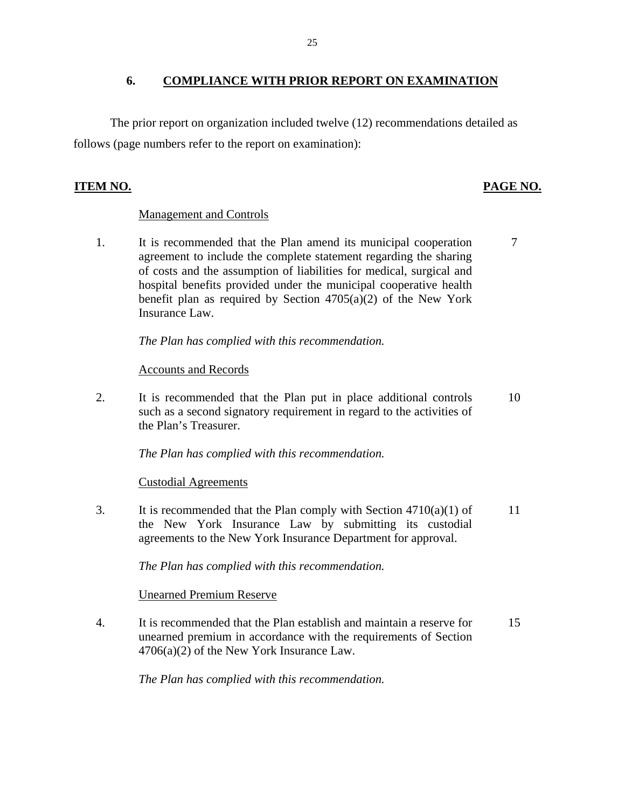#### **6. COMPLIANCE WITH PRIOR REPORT ON EXAMINATION**

The prior report on organization included twelve (12) recommendations detailed as follows (page numbers refer to the report on examination):

#### **ITEM NO.**

## PAGE NO.

#### Management and Controls

1. It is recommended that the Plan amend its municipal cooperation agreement to include the complete statement regarding the sharing of costs and the assumption of liabilities for medical, surgical and hospital benefits provided under the municipal cooperative health benefit plan as required by Section  $4705(a)(2)$  of the New York Insurance Law. 7

*The Plan has complied with this recommendation.* 

#### **Accounts and Records**

2. It is recommended that the Plan put in place additional controls such as a second signatory requirement in regard to the activities of the Plan's Treasurer. 10

*The Plan has complied with this recommendation.* 

#### **Custodial Agreements**

3. It is recommended that the Plan comply with Section  $4710(a)(1)$  of the New York Insurance Law by submitting its custodial agreements to the New York Insurance Department for approval. 11

*The Plan has complied with this recommendation.* 

#### **Unearned Premium Reserve**

4. It is recommended that the Plan establish and maintain a reserve for unearned premium in accordance with the requirements of Section 4706(a)(2) of the New York Insurance Law. 15

*The Plan has complied with this recommendation.*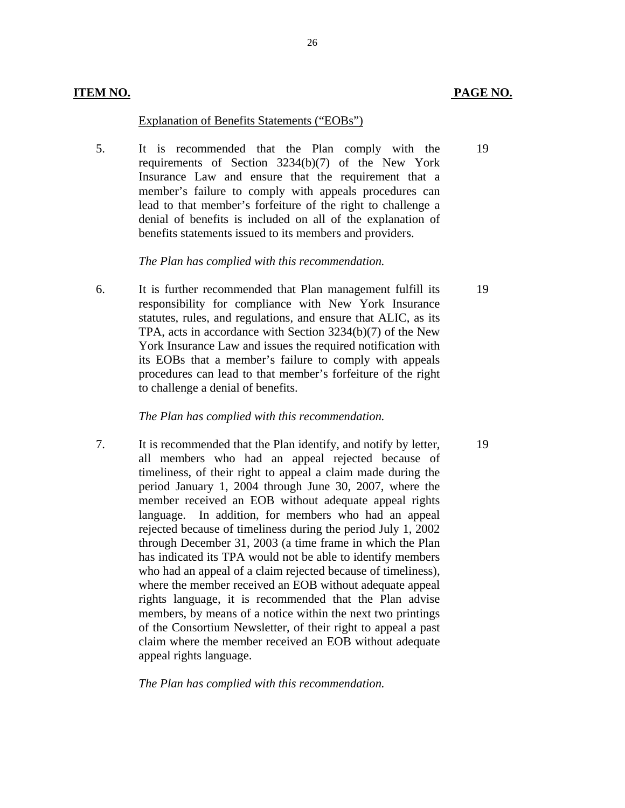#### Explanation of Benefits Statements ("EOBs")

5. It is recommended that the Plan comply with the requirements of Section 3234(b)(7) of the New York Insurance Law and ensure that the requirement that a member's failure to comply with appeals procedures can lead to that member's forfeiture of the right to challenge a denial of benefits is included on all of the explanation of benefits statements issued to its members and providers.

26

#### *The Plan has complied with this recommendation.*

6. It is further recommended that Plan management fulfill its responsibility for compliance with New York Insurance statutes, rules, and regulations, and ensure that ALIC, as its TPA, acts in accordance with Section 3234(b)(7) of the New York Insurance Law and issues the required notification with its EOBs that a member's failure to comply with appeals procedures can lead to that member's forfeiture of the right to challenge a denial of benefits.

#### *The Plan has complied with this recommendation.*

7. It is recommended that the Plan identify, and notify by letter, all members who had an appeal rejected because of timeliness, of their right to appeal a claim made during the period January 1, 2004 through June 30, 2007, where the member received an EOB without adequate appeal rights language. In addition, for members who had an appeal rejected because of timeliness during the period July 1, 2002 through December 31, 2003 (a time frame in which the Plan has indicated its TPA would not be able to identify members who had an appeal of a claim rejected because of timeliness), where the member received an EOB without adequate appeal rights language, it is recommended that the Plan advise members, by means of a notice within the next two printings of the Consortium Newsletter, of their right to appeal a past claim where the member received an EOB without adequate appeal rights language.

#### *The Plan has complied with this recommendation.*

19

19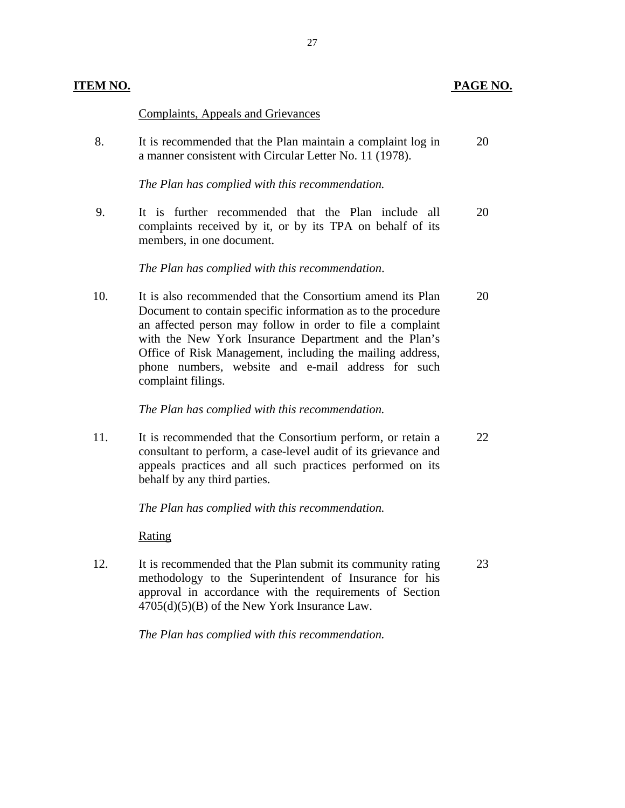| <u>TEM NO.</u> |                                                                                                                                                                                                                                                                                                                                                                                           | <b>PAGE NO.</b> |
|----------------|-------------------------------------------------------------------------------------------------------------------------------------------------------------------------------------------------------------------------------------------------------------------------------------------------------------------------------------------------------------------------------------------|-----------------|
|                | <b>Complaints, Appeals and Grievances</b>                                                                                                                                                                                                                                                                                                                                                 |                 |
| 8.             | It is recommended that the Plan maintain a complaint log in<br>a manner consistent with Circular Letter No. 11 (1978).                                                                                                                                                                                                                                                                    | 20              |
|                | The Plan has complied with this recommendation.                                                                                                                                                                                                                                                                                                                                           |                 |
| 9.             | It is further recommended that the Plan include all<br>complaints received by it, or by its TPA on behalf of its<br>members, in one document.                                                                                                                                                                                                                                             | 20              |
|                | The Plan has complied with this recommendation.                                                                                                                                                                                                                                                                                                                                           |                 |
| 10.            | It is also recommended that the Consortium amend its Plan<br>Document to contain specific information as to the procedure<br>an affected person may follow in order to file a complaint<br>with the New York Insurance Department and the Plan's<br>Office of Risk Management, including the mailing address,<br>phone numbers, website and e-mail address for such<br>complaint filings. | 20              |
|                | The Plan has complied with this recommendation.                                                                                                                                                                                                                                                                                                                                           |                 |
| 11.            | It is recommended that the Consortium perform, or retain a<br>consultant to perform, a case-level audit of its grievance and<br>appeals practices and all such practices performed on its<br>behalf by any third parties.                                                                                                                                                                 | 22              |
|                | The Plan has complied with this recommendation.                                                                                                                                                                                                                                                                                                                                           |                 |
|                | Rating                                                                                                                                                                                                                                                                                                                                                                                    |                 |
| 12.            | It is recommended that the Plan submit its community rating<br>methodology to the Superintendent of Insurance for his<br>approval in accordance with the requirements of Section<br>$4705(d)(5)(B)$ of the New York Insurance Law.                                                                                                                                                        | 23              |
|                | The Plan has complied with this recommendation.                                                                                                                                                                                                                                                                                                                                           |                 |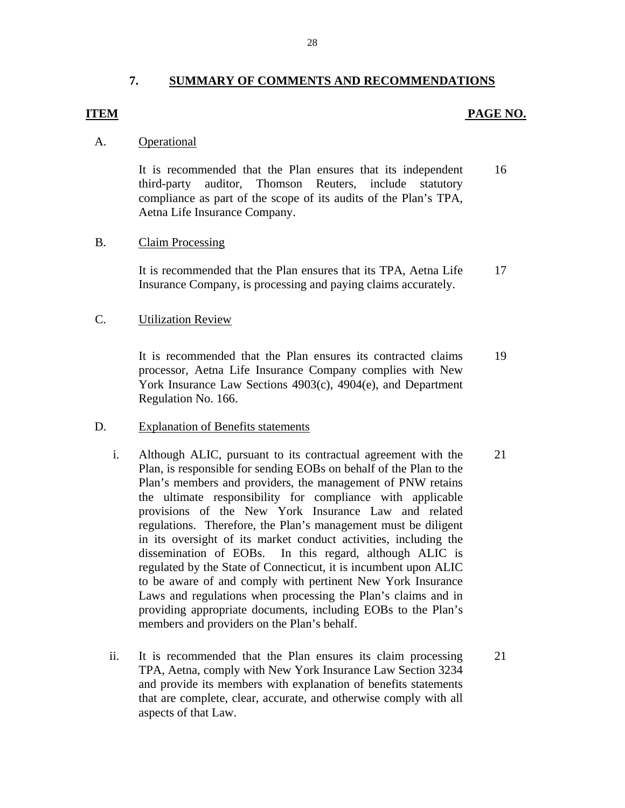#### **7. SUMMARY OF COMMENTS AND RECOMMENDATIONS**

#### <span id="page-29-0"></span>**ITEM** PAGE NO.

#### A. Operational

It is recommended that the Plan ensures that its independent 16 third-party auditor, Thomson Reuters, include statutory compliance as part of the scope of its audits of the Plan's TPA, Aetna Life Insurance Company.

#### **Claim Processing**

B. Claim Processing<br>It is recommended that the Plan ensures that its TPA, Aetna Life 17 Insurance Company, is processing and paying claims accurately.

#### **Utilization Review**

C. Utilization Review<br>It is recommended that the Plan ensures its contracted claims 19 processor, Aetna Life Insurance Company complies with New York Insurance Law Sections 4903(c), 4904(e), and Department Regulation No. 166.

#### **Explanation of Benefits statements**

- D. Explanation of Benefits statements<br>i. Although ALIC, pursuant to its contractual agreement with the 21 Plan, is responsible for sending EOBs on behalf of the Plan to the Plan's members and providers, the management of PNW retains the ultimate responsibility for compliance with applicable provisions of the New York Insurance Law and related regulations. Therefore, the Plan's management must be diligent in its oversight of its market conduct activities, including the dissemination of EOBs. In this regard, although ALIC is regulated by the State of Connecticut, it is incumbent upon ALIC to be aware of and comply with pertinent New York Insurance Laws and regulations when processing the Plan's claims and in providing appropriate documents, including EOBs to the Plan's members and providers on the Plan's behalf.
	- ii. It is recommended that the Plan ensures its claim processing 21 TPA, Aetna, comply with New York Insurance Law Section 3234 and provide its members with explanation of benefits statements that are complete, clear, accurate, and otherwise comply with all aspects of that Law.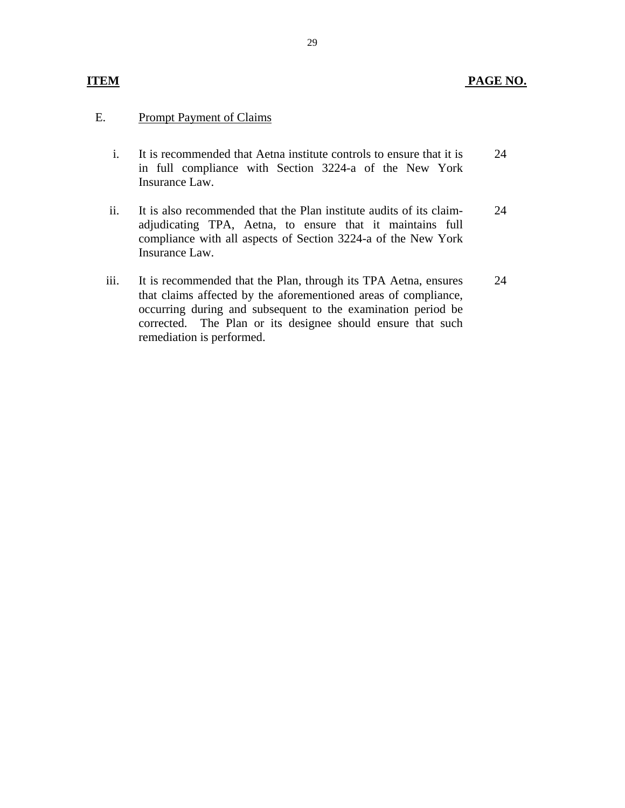#### **PAGE NO.**

#### E. Prompt Payment of Claims

**ITEM** 

- i. It is recommended that Aetna institute controls to ensure that it is in full compliance with Section 3224-a of the New York Insurance Law. 24
- ii. It is also recommended that the Plan institute audits of its claimadjudicating TPA, Aetna, to ensure that it maintains full compliance with all aspects of Section 3224-a of the New York Insurance Law. 24
- iii. It is recommended that the Plan, through its TPA Aetna, ensures that claims affected by the aforementioned areas of compliance, occurring during and subsequent to the examination period be corrected. The Plan or its designee should ensure that such remediation is performed. 24